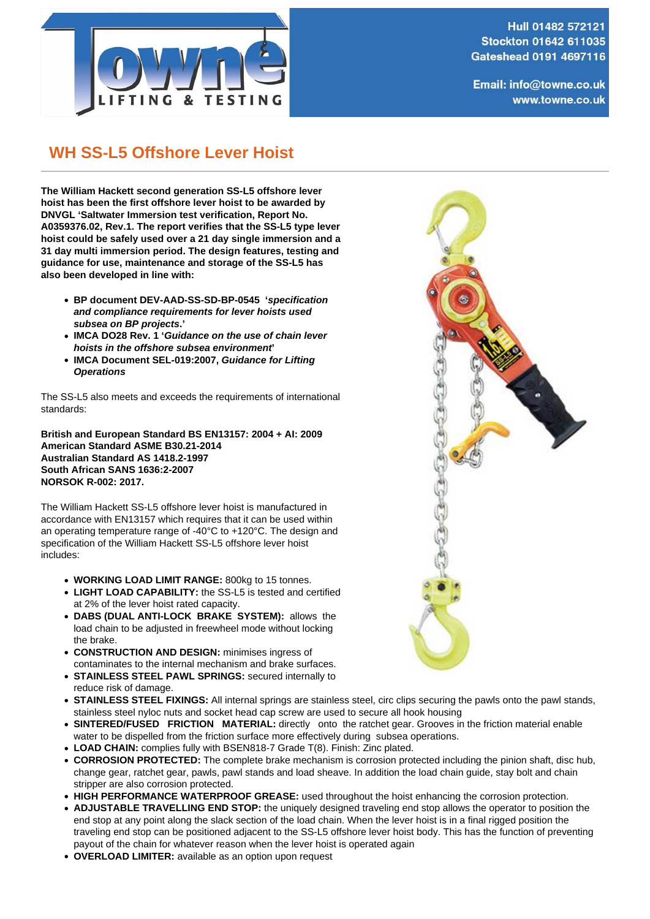

Hull 01482 572121 **Stockton 01642 611035** Gateshead 0191 4697116

Email: info@towne.co.uk www.towne.co.uk

## **WH SS-L5 Offshore Lever Hoist**

**The William Hackett second generation SS-L5 offshore lever hoist has been the first offshore lever hoist to be awarded by DNVGL 'Saltwater Immersion test verification, Report No. A0359376.02, Rev.1. The report verifies that the SS-L5 type lever hoist could be safely used over a 21 day single immersion and a 31 day multi immersion period. The design features, testing and guidance for use, maintenance and storage of the SS-L5 has also been developed in line with:**

- **BP document DEV-AAD-SS-SD-BP-0545 'specification and compliance requirements for lever hoists used subsea on BP projects.'**
- **IMCA DO28 Rev. 1 'Guidance on the use of chain lever hoists in the offshore subsea environment'**
- **IMCA Document SEL-019:2007, Guidance for Lifting Operations**

The SS-L5 also meets and exceeds the requirements of international standards:

**British and European Standard BS EN13157: 2004 + AI: 2009 American Standard ASME B30.21-2014 Australian Standard AS 1418.2-1997 South African SANS 1636:2-2007 NORSOK R-002: 2017.**

The William Hackett SS-L5 offshore lever hoist is manufactured in accordance with EN13157 which requires that it can be used within an operating temperature range of -40°C to +120°C. The design and specification of the William Hackett SS-L5 offshore lever hoist includes:

- **WORKING LOAD LIMIT RANGE:** 800kg to 15 tonnes.
- **LIGHT LOAD CAPABILITY:** the SS-L5 is tested and certified at 2% of the lever hoist rated capacity.
- **DABS (DUAL ANTI-LOCK BRAKE SYSTEM):** allows the load chain to be adjusted in freewheel mode without locking the brake.
- **CONSTRUCTION AND DESIGN:** minimises ingress of contaminates to the internal mechanism and brake surfaces.
- **STAINLESS STEEL PAWL SPRINGS:** secured internally to reduce risk of damage.
- **STAINLESS STEEL FIXINGS:** All internal springs are stainless steel, circ clips securing the pawls onto the pawl stands, stainless steel nyloc nuts and socket head cap screw are used to secure all hook housing
- **SINTERED/FUSED FRICTION MATERIAL:** directly onto the ratchet gear. Grooves in the friction material enable water to be dispelled from the friction surface more effectively during subsea operations.
- **LOAD CHAIN:** complies fully with BSEN818-7 Grade T(8). Finish: Zinc plated.
- **CORROSION PROTECTED:** The complete brake mechanism is corrosion protected including the pinion shaft, disc hub, change gear, ratchet gear, pawls, pawl stands and load sheave. In addition the load chain guide, stay bolt and chain stripper are also corrosion protected.
- **HIGH PERFORMANCE WATERPROOF GREASE:** used throughout the hoist enhancing the corrosion protection.
- **ADJUSTABLE TRAVELLING END STOP:** the uniquely designed traveling end stop allows the operator to position the end stop at any point along the slack section of the load chain. When the lever hoist is in a final rigged position the traveling end stop can be positioned adjacent to the SS-L5 offshore lever hoist body. This has the function of preventing payout of the chain for whatever reason when the lever hoist is operated again
- **OVERLOAD LIMITER:** available as an option upon request